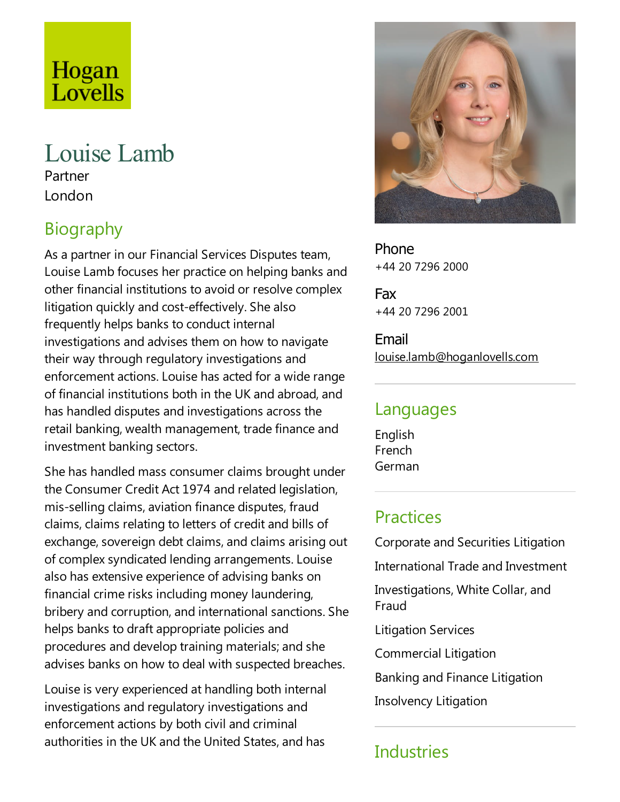# Hogan Lovells

# Louise Lamb

Partner London

# Biography

As a partner in our Financial Services Disputes team, Louise Lamb focuses her practice on helping banks and other financial institutions to avoid or resolvecomplex litigation quickly and cost-effectively. She also frequently helps banks to conduct internal investigations and advises them on how to navigate their way through regulatory investigations and enforcement actions. Louise has acted for a wide range of financial institutions both in the UK and abroad,and has handled disputes and investigations across the retail banking, wealth management, trade finance and investment banking sectors.

She has handled mass consumer claims brought under the Consumer Credit Act 1974 and related legislation, mis-selling claims, aviation finance disputes, fraud claims, claims relating to letters of credit and bills of exchange, sovereign debt claims, and claims arising out of complex syndicated lending arrangements.Louise also has extensive experience of advising banks on financial crime risks including money laundering, bribery and corruption, and international sanctions. She helps banks to draft appropriate policies and procedures and develop training materials;and she advises banks on how to deal with suspected breaches.

Louise is very experienced at handling both internal investigations and regulatory investigations and enforcement actions by both civil and criminal authorities in the UK and the United States,and has



Phone +44 20 7296 2000

Fax +44 20 7296 2001

Email louise.lamb@hoganlovells.com

#### Languages

English French German

#### **Practices**

Corporate and Securities Litigation International Trade and Investment Investigations, White Collar, and Fraud Litigation Services Commercial Litigation Banking and Finance Litigation

Insolvency Litigation

#### **Industries**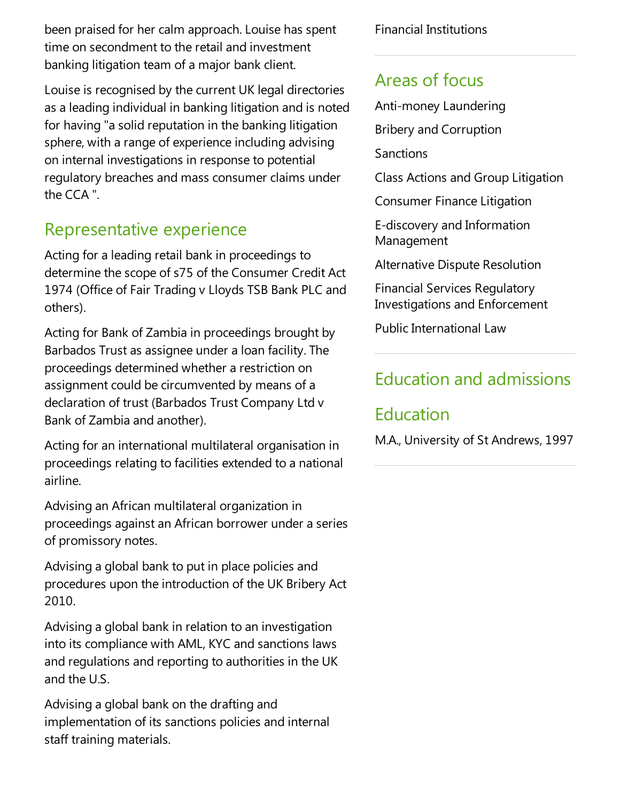been praised for her calm approach. Louise has spent time on secondment to the retail and investment banking litigation team of a major bank client.

Louise is recognised by the current UK legal directories as aleading individual in banking litigation and is noted for having "asolid reputation in the banking litigation sphere, with a range of experience including advising on internal investigations in responseto potential regulatory breaches and mass consumer claims under the CCA ".

### Representative experience

Acting for aleading retail bank in proceedings to determine the scope of s75 of the Consumer Credit Act 1974 (Office of Fair Trading v Lloyds TSB Bank PLC and others).

Acting for Bank of Zambia in proceedings brought by Barbados Trust as assignee under a loan facility. The proceedings determined whether a restriction on assignment could be circumvented by means of a declaration of trust (Barbados Trust Company Ltd v Bank of Zambia and another).

Acting for an international multilateral organisation in proceedings relating to facilities extended to a national airline.

Advising an African multilateral organization in proceedings against an African borrower under a series of promissory notes.

Advising a global bank to put in place policies and procedures upon the introduction of the UK Bribery Act 2010.

Advising a global bank in relation to an investigation into its compliance with AML, KYC and sanctions laws and regulations and reporting to authorities in the UK and the U.S.

Advising a global bank on the drafting and implementation of its sanctions policies and internal staff training materials.

Financial Institutions

#### Areas of focus

- Anti-money Laundering
- Bribery and Corruption
- Sanctions
- Class Actions and Group Litigation
- Consumer Finance Litigation
- E-discovery and Information Management
- Alternative Dispute Resolution
- Financial Services Regulatory Investigations and Enforcement
- PublicInternational Law

# Education and admissions

## Education

M.A., University of St Andrews, 1997